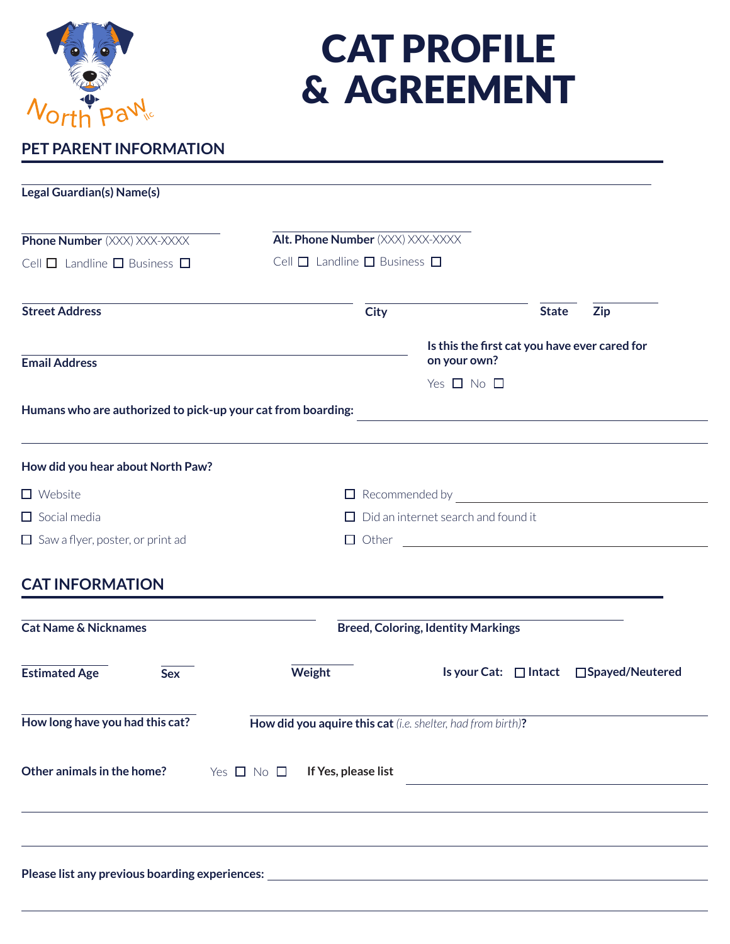

# CAT PROFILE & AGREEMENT

# **PET PARENT INFORMATION**

| Legal Guardian(s) Name(s)                                    |                                                                                   |                                                               |              |                                                                                                                       |  |
|--------------------------------------------------------------|-----------------------------------------------------------------------------------|---------------------------------------------------------------|--------------|-----------------------------------------------------------------------------------------------------------------------|--|
|                                                              |                                                                                   |                                                               |              |                                                                                                                       |  |
| <b>Phone Number</b> (XXX) XXX-XXXX                           | Alt. Phone Number (XXX) XXX-XXXX                                                  |                                                               |              |                                                                                                                       |  |
| Cell $\Box$ Landline $\Box$ Business $\Box$                  | Cell $\Box$ Landline $\Box$ Business $\Box$                                       |                                                               |              |                                                                                                                       |  |
| <b>Street Address</b>                                        | <b>City</b>                                                                       |                                                               | <b>State</b> | <b>Zip</b>                                                                                                            |  |
| <b>Email Address</b>                                         |                                                                                   | Is this the first cat you have ever cared for<br>on your own? |              |                                                                                                                       |  |
|                                                              |                                                                                   | Yes $\Box$ No $\Box$                                          |              |                                                                                                                       |  |
| Humans who are authorized to pick-up your cat from boarding: |                                                                                   |                                                               |              |                                                                                                                       |  |
| How did you hear about North Paw?                            |                                                                                   |                                                               |              |                                                                                                                       |  |
| $\Box$ Website                                               | □ Recommended by <u>________________________________</u>                          |                                                               |              |                                                                                                                       |  |
| $\Box$ Social media                                          | $\Box$ Did an internet search and found it                                        |                                                               |              |                                                                                                                       |  |
| $\Box$ Saw a flyer, poster, or print ad                      | $\Box$ Other $\Box$                                                               |                                                               |              |                                                                                                                       |  |
| <b>CAT INFORMATION</b>                                       |                                                                                   |                                                               |              |                                                                                                                       |  |
| <b>Cat Name &amp; Nicknames</b>                              |                                                                                   | <b>Breed, Coloring, Identity Markings</b>                     |              |                                                                                                                       |  |
| <b>Estimated Age</b><br><b>Sex</b>                           | Weight                                                                            |                                                               |              | Is your Cat: □ Intact □ Spayed/Neutered                                                                               |  |
| How long have you had this cat?                              | How did you aquire this cat (i.e. shelter, had from birth)?                       |                                                               |              |                                                                                                                       |  |
| Other animals in the home?                                   | Yes $\Box$ No $\Box$<br>If Yes, please list                                       |                                                               |              | <u> 1989 - Johann Barn, mars ann an t-Amhain Aonaichte ann an t-Aonaichte ann an t-Aonaichte ann an t-Aonaichte a</u> |  |
|                                                              |                                                                                   |                                                               |              |                                                                                                                       |  |
|                                                              | ,我们也不能在这里的时候,我们也不能在这里的时候,我们也不能会在这里的时候,我们也不能会在这里的时候,我们也不能会在这里的时候,我们也不能会在这里的时候,我们也不 |                                                               |              |                                                                                                                       |  |
|                                                              |                                                                                   |                                                               |              |                                                                                                                       |  |
|                                                              |                                                                                   |                                                               |              |                                                                                                                       |  |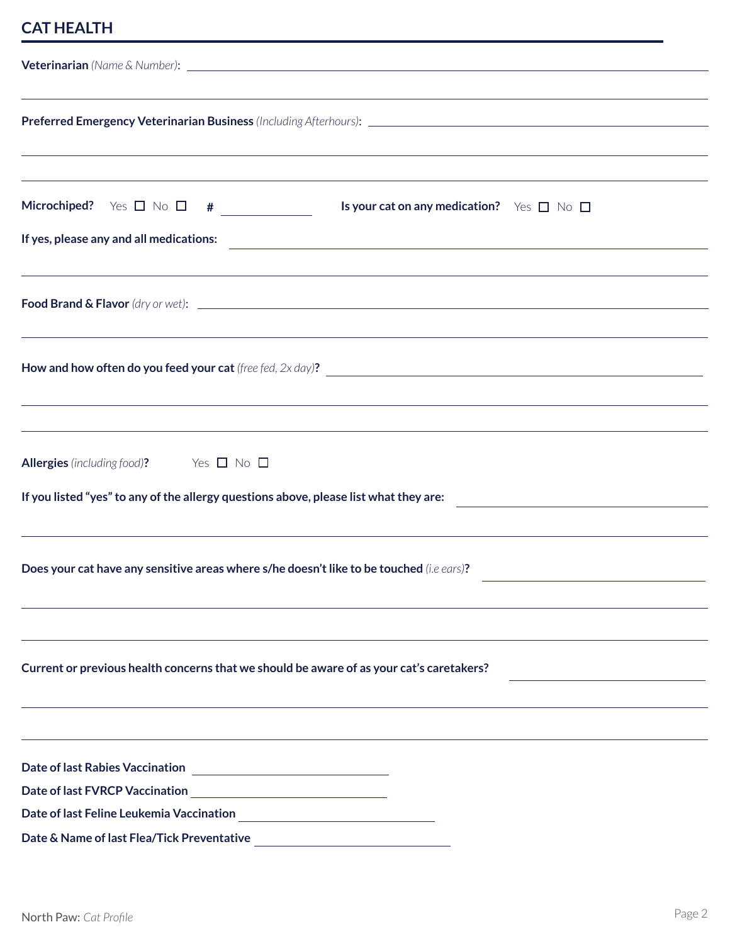## **CAT HEALTH**

| ,我们也不能会有什么。""我们的人,我们也不能会有什么?""我们的人,我们也不能会有什么?""我们的人,我们也不能会有什么?""我们的人,我们也不能会有什么?""<br><b>Microchiped?</b> Yes $\Box$ No $\Box$ # _____________<br>Is your cat on any medication? $\forall$ es $\Box$ No $\Box$<br>If yes, please any and all medications: |  |  |  |  |  |
|----------------------------------------------------------------------------------------------------------------------------------------------------------------------------------------------------------------------------------------------------------|--|--|--|--|--|
| ,我们也不会有什么。""我们的人,我们也不会有什么?""我们的人,我们也不会有什么?""我们的人,我们也不会有什么?""我们的人,我们也不会有什么?""我们的人<br>,我们也不会有什么。""我们的人,我们也不会有什么?""我们的人,我们也不会有什么?""我们的人,我们也不会有什么?""我们的人,我们也不会有什么?""我们的人                                                                                     |  |  |  |  |  |
| ,我们也不会有什么。""我们的人,我们也不会有什么?""我们的人,我们也不会有什么?""我们的人,我们也不会有什么?""我们的人,我们也不会有什么?""我们的人                                                                                                                                                                         |  |  |  |  |  |
| <u> 1989 - Andrea Santa Andrea Santa Andrea Santa Andrea Santa Andrea Santa Andrea Santa Andrea Santa Andrea San</u><br>Allergies (including food)? Yes □ No □<br>If you listed "yes" to any of the allergy questions above, please list what they are:  |  |  |  |  |  |
| Does your cat have any sensitive areas where s/he doesn't like to be touched (i.e ears)?                                                                                                                                                                 |  |  |  |  |  |
| Current or previous health concerns that we should be aware of as your cat's caretakers?                                                                                                                                                                 |  |  |  |  |  |
|                                                                                                                                                                                                                                                          |  |  |  |  |  |
|                                                                                                                                                                                                                                                          |  |  |  |  |  |
| Date & Name of last Flea/Tick Preventative                                                                                                                                                                                                               |  |  |  |  |  |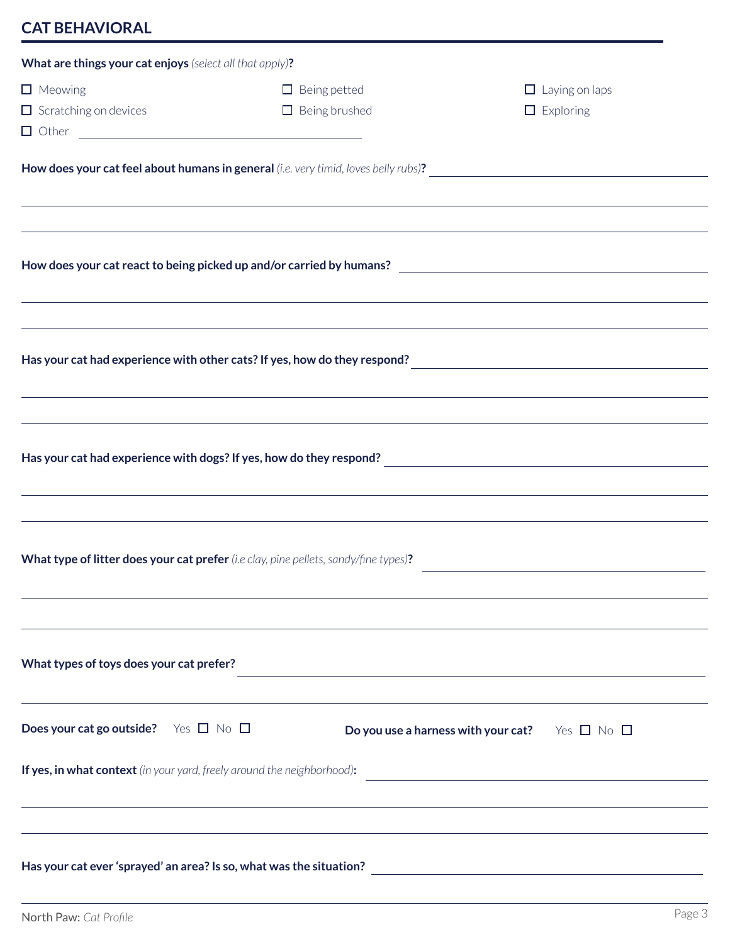# **CAT BEHAVIORAL**

| What are things your cat enjoys (select all that apply)?                             |                                             |                                                                                                                  |                                                                                   |
|--------------------------------------------------------------------------------------|---------------------------------------------|------------------------------------------------------------------------------------------------------------------|-----------------------------------------------------------------------------------|
| $\Box$ Meowing<br>$\Box$ Scratching on devices                                       | $\Box$ Being petted<br>$\Box$ Being brushed |                                                                                                                  | $\Box$ Laying on laps<br>$\Box$ Exploring                                         |
|                                                                                      |                                             |                                                                                                                  |                                                                                   |
|                                                                                      |                                             |                                                                                                                  |                                                                                   |
|                                                                                      |                                             |                                                                                                                  |                                                                                   |
| How does your cat react to being picked up and/or carried by humans?                 |                                             |                                                                                                                  |                                                                                   |
|                                                                                      |                                             |                                                                                                                  | ,我们也不能会有什么。""我们的人,我们也不能会有什么?""我们的人,我们也不能会有什么?""我们的人,我们也不能会有什么?""我们的人,我们也不能会有什么?"" |
|                                                                                      |                                             |                                                                                                                  |                                                                                   |
|                                                                                      |                                             |                                                                                                                  |                                                                                   |
|                                                                                      |                                             |                                                                                                                  | ,我们也不会有什么。""我们的人,我们也不会有什么?""我们的人,我们也不会有什么?""我们的人,我们也不会有什么?""我们的人,我们也不会有什么?""我们的人  |
|                                                                                      |                                             |                                                                                                                  |                                                                                   |
|                                                                                      |                                             |                                                                                                                  |                                                                                   |
| ,我们也不能会有什么。""我们的人,我们也不能会有什么?""我们的人,我们也不能会有什么?""我们的人,我们也不能会有什么?""我们的人,我们也不能会有什么?""    |                                             |                                                                                                                  |                                                                                   |
|                                                                                      |                                             |                                                                                                                  |                                                                                   |
| What type of litter does your cat prefer (i.e clay, pine pellets, sandy/fine types)? |                                             |                                                                                                                  |                                                                                   |
|                                                                                      |                                             |                                                                                                                  |                                                                                   |
|                                                                                      |                                             |                                                                                                                  |                                                                                   |
| What types of toys does your cat prefer?                                             |                                             | and the control of the control of the control of the control of the control of the control of the control of the |                                                                                   |
|                                                                                      |                                             |                                                                                                                  |                                                                                   |
| Does your cat go outside? Yes $\Box$ No $\Box$                                       |                                             | Do you use a harness with your cat? Yes $\Box$ No $\Box$                                                         |                                                                                   |
| If yes, in what context (in your yard, freely around the neighborhood):              |                                             |                                                                                                                  |                                                                                   |
|                                                                                      |                                             | ,我们也不会有什么?""我们的人,我们也不会有什么?""我们的人,我们也不会有什么?""我们的人,我们也不会有什么?""我们的人,我们也不会有什么?""我们的人                                 |                                                                                   |
|                                                                                      |                                             |                                                                                                                  |                                                                                   |
|                                                                                      |                                             |                                                                                                                  |                                                                                   |
|                                                                                      |                                             |                                                                                                                  |                                                                                   |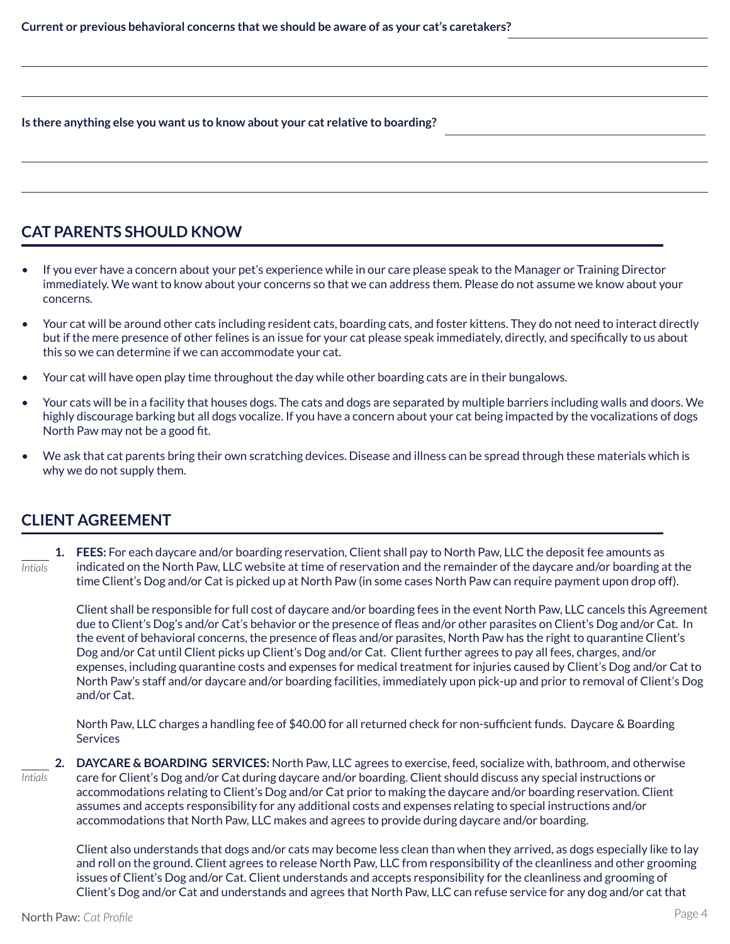**Is there anything else you want us to know about your cat relative to boarding?**

## **CAT PARENTS SHOULD KNOW**

- If you ever have a concern about your pet's experience while in our care please speak to the Manager or Training Director immediately. We want to know about your concerns so that we can address them. Please do not assume we know about your concerns.
- Your cat will be around other cats including resident cats, boarding cats, and foster kittens. They do not need to interact directly but if the mere presence of other felines is an issue for your cat please speak immediately, directly, and specifically to us about this so we can determine if we can accommodate your cat.
- Your cat will have open play time throughout the day while other boarding cats are in their bungalows.
- Your cats will be in a facility that houses dogs. The cats and dogs are separated by multiple barriers including walls and doors. We highly discourage barking but all dogs vocalize. If you have a concern about your cat being impacted by the vocalizations of dogs North Paw may not be a good fit.
- We ask that cat parents bring their own scratching devices. Disease and illness can be spread through these materials which is why we do not supply them.

## **CLIENT AGREEMENT**

**1. FEES:** For each daycare and/or boarding reservation, Client shall pay to North Paw, LLC the deposit fee amounts as indicated on the North Paw, LLC website at time of reservation and the remainder of the daycare and/or boarding at the time Client's Dog and/or Cat is picked up at North Paw (in some cases North Paw can require payment upon drop off). *Intials*

Client shall be responsible for full cost of daycare and/or boarding fees in the event North Paw, LLC cancels this Agreement due to Client's Dog's and/or Cat's behavior or the presence of fleas and/or other parasites on Client's Dog and/or Cat. In the event of behavioral concerns, the presence of fleas and/or parasites, North Paw has the right to quarantine Client's Dog and/or Cat until Client picks up Client's Dog and/or Cat. Client further agrees to pay all fees, charges, and/or expenses, including quarantine costs and expenses for medical treatment for injuries caused by Client's Dog and/or Cat to North Paw's staff and/or daycare and/or boarding facilities, immediately upon pick-up and prior to removal of Client's Dog and/or Cat.

North Paw, LLC charges a handling fee of \$40.00 for all returned check for non-sufficient funds. Daycare & Boarding **Services** 

**2. DAYCARE & BOARDING SERVICES:** North Paw, LLC agrees to exercise, feed, socialize with, bathroom, and otherwise care for Client's Dog and/or Cat during daycare and/or boarding. Client should discuss any special instructions or accommodations relating to Client's Dog and/or Cat prior to making the daycare and/or boarding reservation. Client assumes and accepts responsibility for any additional costs and expenses relating to special instructions and/or accommodations that North Paw, LLC makes and agrees to provide during daycare and/or boarding. *Intials*

Client also understands that dogs and/or cats may become less clean than when they arrived, as dogs especially like to lay and roll on the ground. Client agrees to release North Paw, LLC from responsibility of the cleanliness and other grooming issues of Client's Dog and/or Cat. Client understands and accepts responsibility for the cleanliness and grooming of Client's Dog and/or Cat and understands and agrees that North Paw, LLC can refuse service for any dog and/or cat that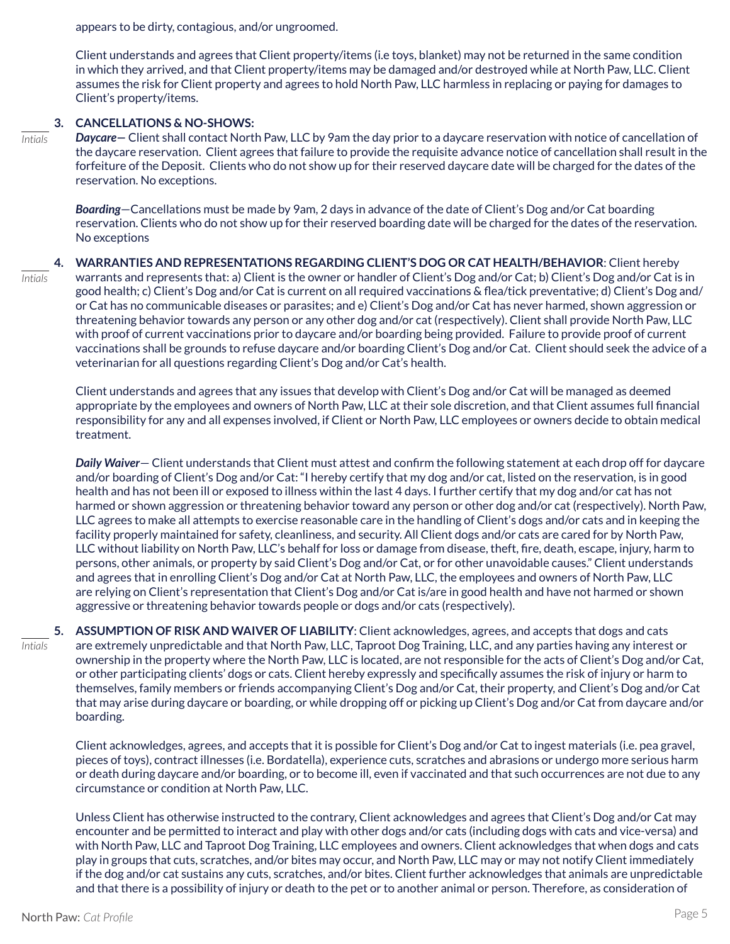appears to be dirty, contagious, and/or ungroomed.

Client understands and agrees that Client property/items (i.e toys, blanket) may not be returned in the same condition in which they arrived, and that Client property/items may be damaged and/or destroyed while at North Paw, LLC. Client assumes the risk for Client property and agrees to hold North Paw, LLC harmless in replacing or paying for damages to Client's property/items.

#### **3. CANCELLATIONS & NO-SHOWS:**

*Intials*

*Intials*

*Daycare—* Client shall contact North Paw, LLC by 9am the day prior to a daycare reservation with notice of cancellation of the daycare reservation. Client agrees that failure to provide the requisite advance notice of cancellation shall result in the forfeiture of the Deposit. Clients who do not show up for their reserved daycare date will be charged for the dates of the reservation. No exceptions.

*Boarding*—Cancellations must be made by 9am, 2 days in advance of the date of Client's Dog and/or Cat boarding reservation. Clients who do not show up for their reserved boarding date will be charged for the dates of the reservation. No exceptions

**4. WARRANTIES AND REPRESENTATIONS REGARDING CLIENT'S DOG OR CAT HEALTH/BEHAVIOR**: Client hereby warrants and represents that: a) Client is the owner or handler of Client's Dog and/or Cat; b) Client's Dog and/or Cat is in good health; c) Client's Dog and/or Cat is current on all required vaccinations & flea/tick preventative; d) Client's Dog and/ or Cat has no communicable diseases or parasites; and e) Client's Dog and/or Cat has never harmed, shown aggression or threatening behavior towards any person or any other dog and/or cat (respectively). Client shall provide North Paw, LLC with proof of current vaccinations prior to daycare and/or boarding being provided. Failure to provide proof of current vaccinations shall be grounds to refuse daycare and/or boarding Client's Dog and/or Cat. Client should seek the advice of a veterinarian for all questions regarding Client's Dog and/or Cat's health.

Client understands and agrees that any issues that develop with Client's Dog and/or Cat will be managed as deemed appropriate by the employees and owners of North Paw, LLC at their sole discretion, and that Client assumes full financial responsibility for any and all expenses involved, if Client or North Paw, LLC employees or owners decide to obtain medical treatment.

*Daily Waiver*— Client understands that Client must attest and confirm the following statement at each drop off for daycare and/or boarding of Client's Dog and/or Cat: "I hereby certify that my dog and/or cat, listed on the reservation, is in good health and has not been ill or exposed to illness within the last 4 days. I further certify that my dog and/or cat has not harmed or shown aggression or threatening behavior toward any person or other dog and/or cat (respectively). North Paw, LLC agrees to make all attempts to exercise reasonable care in the handling of Client's dogs and/or cats and in keeping the facility properly maintained for safety, cleanliness, and security. All Client dogs and/or cats are cared for by North Paw, LLC without liability on North Paw, LLC's behalf for loss or damage from disease, theft, fire, death, escape, injury, harm to persons, other animals, or property by said Client's Dog and/or Cat, or for other unavoidable causes." Client understands and agrees that in enrolling Client's Dog and/or Cat at North Paw, LLC, the employees and owners of North Paw, LLC are relying on Client's representation that Client's Dog and/or Cat is/are in good health and have not harmed or shown aggressive or threatening behavior towards people or dogs and/or cats (respectively).

**5. ASSUMPTION OF RISK AND WAIVER OF LIABILITY**: Client acknowledges, agrees, and accepts that dogs and cats are extremely unpredictable and that North Paw, LLC, Taproot Dog Training, LLC, and any parties having any interest or ownership in the property where the North Paw, LLC is located, are not responsible for the acts of Client's Dog and/or Cat, or other participating clients' dogs or cats. Client hereby expressly and specifically assumes the risk of injury or harm to themselves, family members or friends accompanying Client's Dog and/or Cat, their property, and Client's Dog and/or Cat that may arise during daycare or boarding, or while dropping off or picking up Client's Dog and/or Cat from daycare and/or boarding. *Intials*

Client acknowledges, agrees, and accepts that it is possible for Client's Dog and/or Cat to ingest materials (i.e. pea gravel, pieces of toys), contract illnesses (i.e. Bordatella), experience cuts, scratches and abrasions or undergo more serious harm or death during daycare and/or boarding, or to become ill, even if vaccinated and that such occurrences are not due to any circumstance or condition at North Paw, LLC.

Unless Client has otherwise instructed to the contrary, Client acknowledges and agrees that Client's Dog and/or Cat may encounter and be permitted to interact and play with other dogs and/or cats (including dogs with cats and vice-versa) and with North Paw, LLC and Taproot Dog Training, LLC employees and owners. Client acknowledges that when dogs and cats play in groups that cuts, scratches, and/or bites may occur, and North Paw, LLC may or may not notify Client immediately if the dog and/or cat sustains any cuts, scratches, and/or bites. Client further acknowledges that animals are unpredictable and that there is a possibility of injury or death to the pet or to another animal or person. Therefore, as consideration of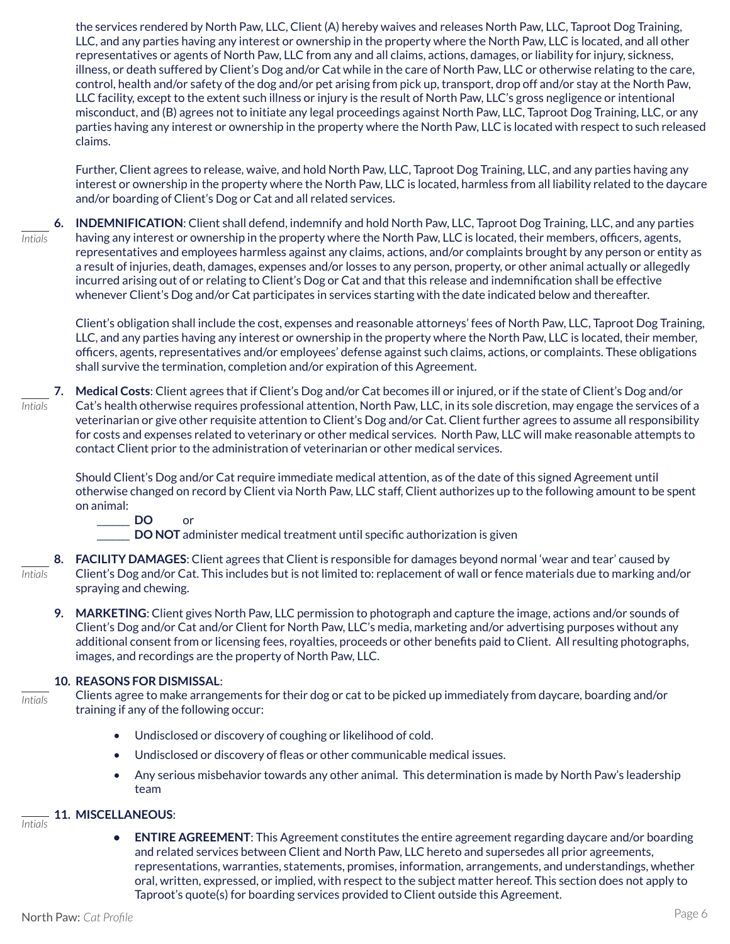the services rendered by North Paw, LLC, Client (A) hereby waives and releases North Paw, LLC, Taproot Dog Training, LLC, and any parties having any interest or ownership in the property where the North Paw, LLC is located, and all other representatives or agents of North Paw, LLC from any and all claims, actions, damages, or liability for injury, sickness, illness, or death suffered by Client's Dog and/or Cat while in the care of North Paw, LLC or otherwise relating to the care, control, health and/or safety of the dog and/or pet arising from pick up, transport, drop off and/or stay at the North Paw, LLC facility, except to the extent such illness or injury is the result of North Paw, LLC's gross negligence or intentional misconduct, and (B) agrees not to initiate any legal proceedings against North Paw, LLC, Taproot Dog Training, LLC, or any parties having any interest or ownership in the property where the North Paw, LLC is located with respect to such released claims.

Further, Client agrees to release, waive, and hold North Paw, LLC, Taproot Dog Training, LLC, and any parties having any interest or ownership in the property where the North Paw, LLC is located, harmless from all liability related to the daycare and/or boarding of Client's Dog or Cat and all related services.

**6. INDEMNIFICATION**: Client shall defend, indemnify and hold North Paw, LLC, Taproot Dog Training, LLC, and any parties having any interest or ownership in the property where the North Paw, LLC is located, their members, officers, agents, representatives and employees harmless against any claims, actions, and/or complaints brought by any person or entity as a result of injuries, death, damages, expenses and/or losses to any person, property, or other animal actually or allegedly incurred arising out of or relating to Client's Dog or Cat and that this release and indemnification shall be effective whenever Client's Dog and/or Cat participates in services starting with the date indicated below and thereafter. *Intials*

Client's obligation shall include the cost, expenses and reasonable attorneys' fees of North Paw, LLC, Taproot Dog Training, LLC, and any parties having any interest or ownership in the property where the North Paw, LLC is located, their member, officers, agents, representatives and/or employees' defense against such claims, actions, or complaints. These obligations shall survive the termination, completion and/or expiration of this Agreement.

**7. Medical Costs**: Client agrees that if Client's Dog and/or Cat becomes ill or injured, or if the state of Client's Dog and/or Cat's health otherwise requires professional attention, North Paw, LLC, in its sole discretion, may engage the services of a veterinarian or give other requisite attention to Client's Dog and/or Cat. Client further agrees to assume all responsibility for costs and expenses related to veterinary or other medical services. North Paw, LLC will make reasonable attempts to contact Client prior to the administration of veterinarian or other medical services. *Intials*

Should Client's Dog and/or Cat require immediate medical attention, as of the date of this signed Agreement until otherwise changed on record by Client via North Paw, LLC staff, Client authorizes up to the following amount to be spent on animal:

\_\_\_\_\_\_\_ **DO** or

**DO NOT** administer medical treatment until specific authorization is given

- **8. FACILITY DAMAGES**: Client agrees that Client is responsible for damages beyond normal 'wear and tear' caused by Client's Dog and/or Cat. This includes but is not limited to: replacement of wall or fence materials due to marking and/or spraying and chewing. *Intials*
	- **9. MARKETING**: Client gives North Paw, LLC permission to photograph and capture the image, actions and/or sounds of Client's Dog and/or Cat and/or Client for North Paw, LLC's media, marketing and/or advertising purposes without any additional consent from or licensing fees, royalties, proceeds or other benefits paid to Client. All resulting photographs, images, and recordings are the property of North Paw, LLC.

#### **10. REASONS FOR DISMISSAL**:

*Intials*

Clients agree to make arrangements for their dog or cat to be picked up immediately from daycare, boarding and/or training if any of the following occur:

- Undisclosed or discovery of coughing or likelihood of cold.
- Undisclosed or discovery of fleas or other communicable medical issues.
- Any serious misbehavior towards any other animal. This determination is made by North Paw's leadership team

#### **11. MISCELLANEOUS**: *Intials*

**• ENTIRE AGREEMENT**: This Agreement constitutes the entire agreement regarding daycare and/or boarding and related services between Client and North Paw, LLC hereto and supersedes all prior agreements, representations, warranties, statements, promises, information, arrangements, and understandings, whether oral, written, expressed, or implied, with respect to the subject matter hereof. This section does not apply to Taproot's quote(s) for boarding services provided to Client outside this Agreement.